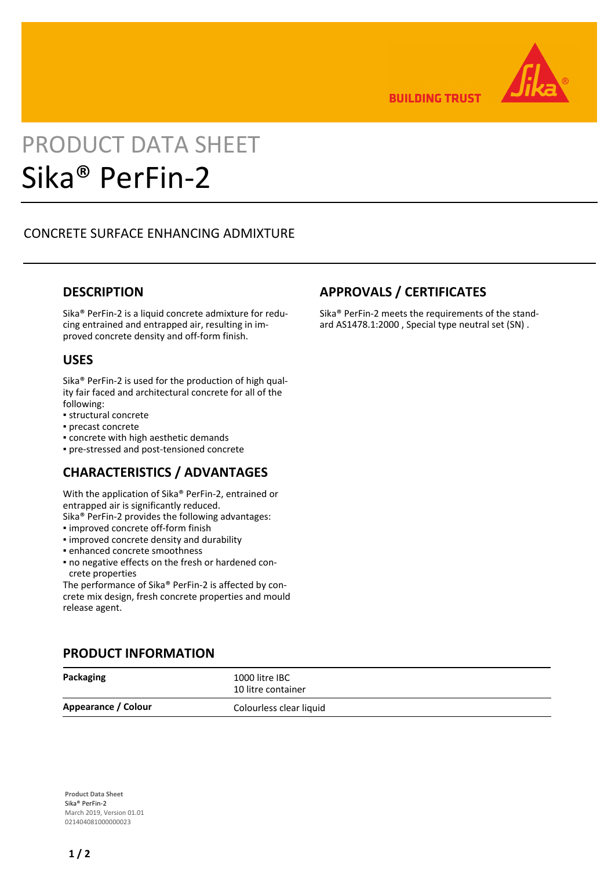

**BUILDING TRUST** 

# PRODUCT DATA SHEET Sika® PerFin-2

# CONCRETE SURFACE ENHANCING ADMIXTURE

# **DESCRIPTION**

Sika® PerFin-2 is a liquid concrete admixture for reducing entrained and entrapped air, resulting in improved concrete density and off-form finish.

#### **USES**

Sika® PerFin-2 is used for the production of high quality fair faced and architectural concrete for all of the following:

- structural concrete
- precast concrete
- concrete with high aesthetic demands
- pre-stressed and post-tensioned concrete

# **CHARACTERISTICS / ADVANTAGES**

With the application of Sika® PerFin-2, entrained or entrapped air is significantly reduced.

- Sika® PerFin-2 provides the following advantages:
- improved concrete off-form finish
- improved concrete density and durability
- enhanced concrete smoothness
- no negative effects on the fresh or hardened con-▪ crete properties

The performance of Sika® PerFin-2 is affected by concrete mix design, fresh concrete properties and mould release agent.

## **PRODUCT INFORMATION**

| Packaging           | 1000 litre IBC<br>10 litre container |
|---------------------|--------------------------------------|
| Appearance / Colour | Colourless clear liquid              |

**Product Data Sheet** Sika® PerFin-2 March 2019, Version 01.01 021404081000000023

# **APPROVALS / CERTIFICATES**

Sika® PerFin-2 meets the requirements of the standard AS1478.1:2000 , Special type neutral set (SN) .